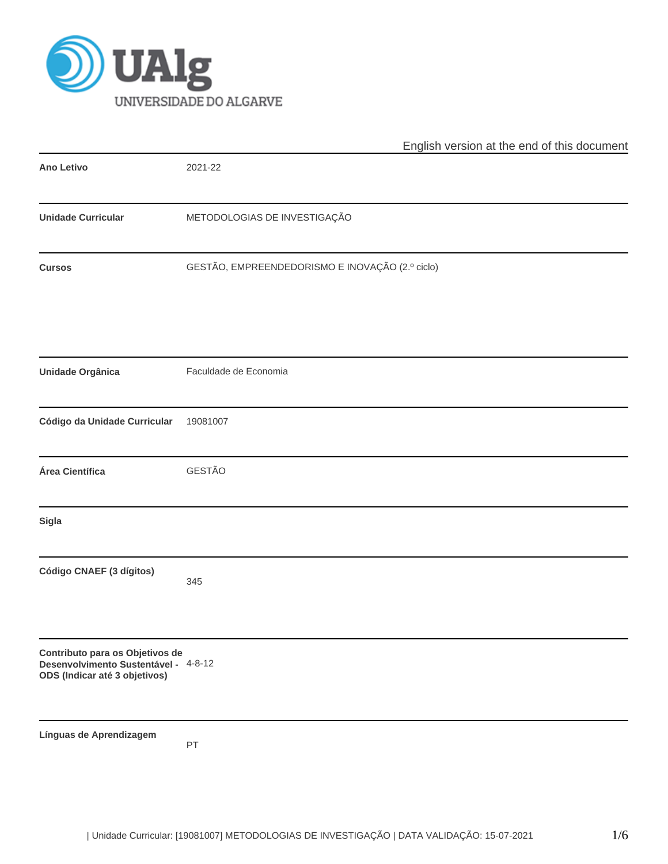

|                                                                                                          | English version at the end of this document     |
|----------------------------------------------------------------------------------------------------------|-------------------------------------------------|
| <b>Ano Letivo</b>                                                                                        | 2021-22                                         |
| <b>Unidade Curricular</b>                                                                                | METODOLOGIAS DE INVESTIGAÇÃO                    |
| <b>Cursos</b>                                                                                            | GESTÃO, EMPREENDEDORISMO E INOVAÇÃO (2.º ciclo) |
| Unidade Orgânica                                                                                         | Faculdade de Economia                           |
| Código da Unidade Curricular                                                                             | 19081007                                        |
| Área Científica                                                                                          | GESTÃO                                          |
| Sigla                                                                                                    |                                                 |
| Código CNAEF (3 dígitos)                                                                                 | 345                                             |
| Contributo para os Objetivos de<br>Desenvolvimento Sustentável - 4-8-12<br>ODS (Indicar até 3 objetivos) |                                                 |
| Línguas de Aprendizagem                                                                                  | PT                                              |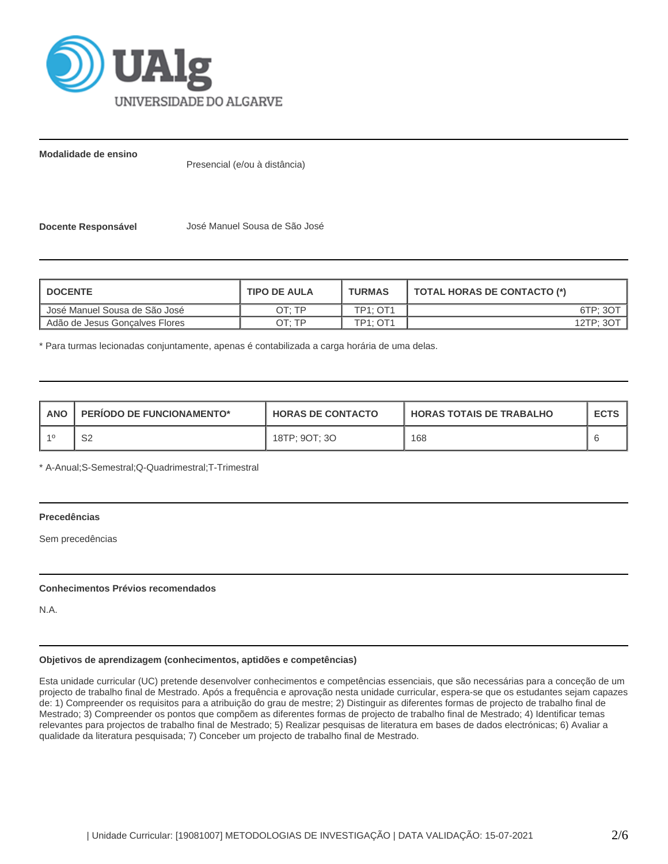

**Modalidade de ensino**

Presencial (e/ou à distância)

**Docente Responsável** José Manuel Sousa de São José

| <b>I DOCENTE</b>               | <b>TIPO DE AULA</b> | <b>TURMAS</b>   | <b>TOTAL HORAS DE CONTACTO (*)</b> |
|--------------------------------|---------------------|-----------------|------------------------------------|
| Dosé Manuel Sousa de São José  | ∩Τ∙ ΤΡ              | <b>TP1: OT1</b> | 6TP: 30                            |
| Adão de Jesus Goncalves Flores | OT: TP              | <b>TP1: OT1</b> | 12TP: 30                           |

\* Para turmas lecionadas conjuntamente, apenas é contabilizada a carga horária de uma delas.

| <b>ANO</b> | <b>PERIODO DE FUNCIONAMENTO*</b> | <b>HORAS DE CONTACTO</b> | <b>HORAS TOTAIS DE TRABALHO</b> | <b>ECTS</b> |
|------------|----------------------------------|--------------------------|---------------------------------|-------------|
|            | ⌒∩<br>ےت                         | 18TP; 9OT; 3O            | 168                             |             |

\* A-Anual;S-Semestral;Q-Quadrimestral;T-Trimestral

# **Precedências**

Sem precedências

## **Conhecimentos Prévios recomendados**

N.A.

## **Objetivos de aprendizagem (conhecimentos, aptidões e competências)**

Esta unidade curricular (UC) pretende desenvolver conhecimentos e competências essenciais, que são necessárias para a conceção de um projecto de trabalho final de Mestrado. Após a frequência e aprovação nesta unidade curricular, espera-se que os estudantes sejam capazes de: 1) Compreender os requisitos para a atribuição do grau de mestre; 2) Distinguir as diferentes formas de projecto de trabalho final de Mestrado; 3) Compreender os pontos que compõem as diferentes formas de projecto de trabalho final de Mestrado; 4) Identificar temas relevantes para projectos de trabalho final de Mestrado; 5) Realizar pesquisas de literatura em bases de dados electrónicas; 6) Avaliar a qualidade da literatura pesquisada; 7) Conceber um projecto de trabalho final de Mestrado.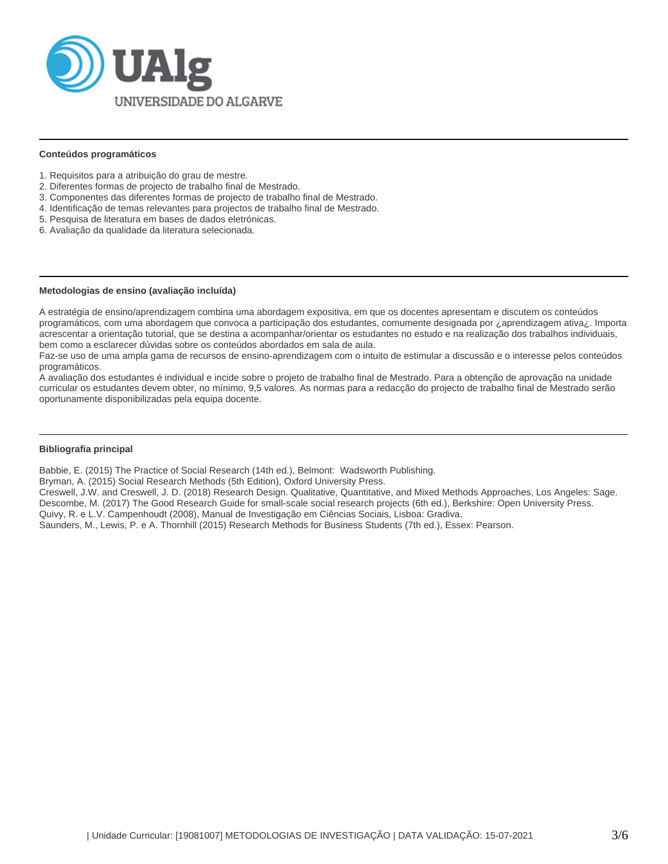

#### **Conteúdos programáticos**

- 1. Requisitos para a atribuição do grau de mestre.
- 2. Diferentes formas de projecto de trabalho final de Mestrado.
- 3. Componentes das diferentes formas de projecto de trabalho final de Mestrado.
- 4. Identificação de temas relevantes para projectos de trabalho final de Mestrado.
- 5. Pesquisa de literatura em bases de dados eletrónicas.
- 6. Avaliação da qualidade da literatura selecionada.

#### **Metodologias de ensino (avaliação incluída)**

A estratégia de ensino/aprendizagem combina uma abordagem expositiva, em que os docentes apresentam e discutem os conteúdos programáticos, com uma abordagem que convoca a participação dos estudantes, comumente designada por ¿aprendizagem ativa¿. Importa acrescentar a orientação tutorial, que se destina a acompanhar/orientar os estudantes no estudo e na realização dos trabalhos individuais, bem como a esclarecer dúvidas sobre os conteúdos abordados em sala de aula.

Faz-se uso de uma ampla gama de recursos de ensino-aprendizagem com o intuito de estimular a discussão e o interesse pelos conteúdos programáticos.

A avaliação dos estudantes é individual e incide sobre o projeto de trabalho final de Mestrado. Para a obtenção de aprovação na unidade curricular os estudantes devem obter, no mínimo, 9,5 valores. As normas para a redacção do projecto de trabalho final de Mestrado serão oportunamente disponibilizadas pela equipa docente.

## **Bibliografia principal**

Babbie, E. (2015) The Practice of Social Research (14th ed.), Belmont: Wadsworth Publishing.

Bryman, A. (2015) Social Research Methods (5th Edition), Oxford University Press.

Creswell, J.W. and Creswell, J. D. (2018) Research Design. Qualitative, Quantitative, and Mixed Methods Approaches, Los Angeles: Sage. Descombe, M. (2017) The Good Research Guide for small-scale social research projects (6th ed.), Berkshire: Open University Press. Quivy, R. e L.V. Campenhoudt (2008), Manual de Investigação em Ciências Sociais, Lisboa: Gradiva.

Saunders, M., Lewis, P. e A. Thornhill (2015) Research Methods for Business Students (7th ed.), Essex: Pearson.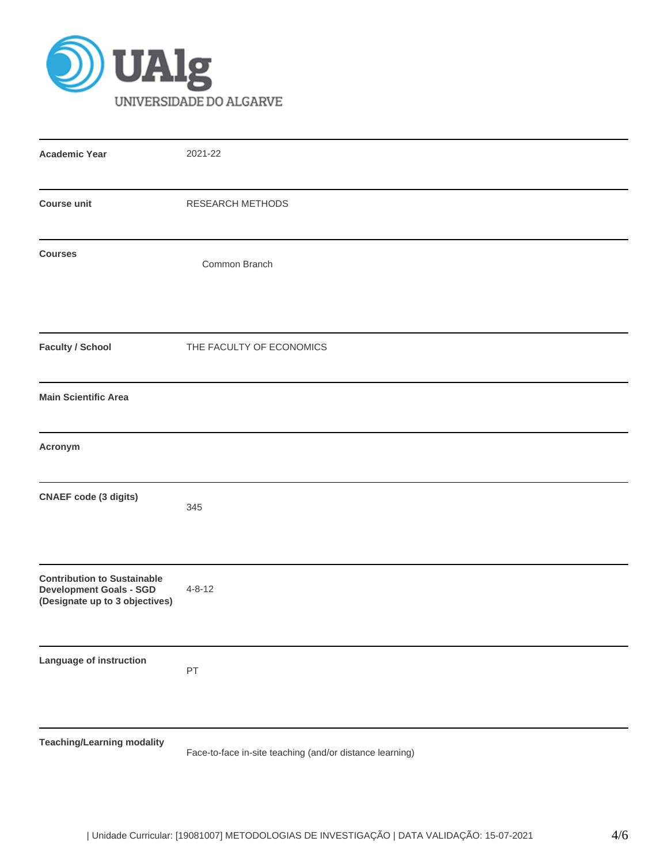

| <b>Academic Year</b>                                                                                   | 2021-22                                                  |
|--------------------------------------------------------------------------------------------------------|----------------------------------------------------------|
| <b>Course unit</b>                                                                                     | <b>RESEARCH METHODS</b>                                  |
| <b>Courses</b>                                                                                         | Common Branch                                            |
| <b>Faculty / School</b>                                                                                | THE FACULTY OF ECONOMICS                                 |
| <b>Main Scientific Area</b>                                                                            |                                                          |
| Acronym                                                                                                |                                                          |
| <b>CNAEF</b> code (3 digits)                                                                           | 345                                                      |
| <b>Contribution to Sustainable</b><br><b>Development Goals - SGD</b><br>(Designate up to 3 objectives) | $4 - 8 - 12$                                             |
| Language of instruction                                                                                | PT                                                       |
| <b>Teaching/Learning modality</b>                                                                      | Face-to-face in-site teaching (and/or distance learning) |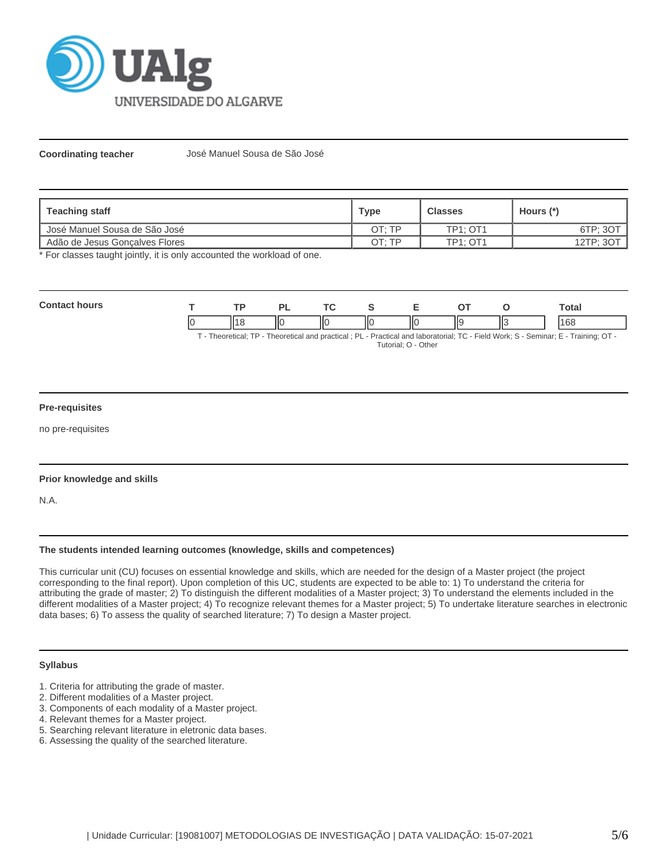

**Coordinating teacher** José Manuel Sousa de São José

| Teaching staff                  | Type   | <b>Classes</b>  | Hours (*) |
|---------------------------------|--------|-----------------|-----------|
| l José Manuel Sousa de São José | OT: TP | <b>TP1: OT1</b> | 6TP; 3OT  |
| Adão de Jesus Goncalves Flores  | OT: TP | <b>TP1: OT1</b> | 12TP; 3OT |

\* For classes taught jointly, it is only accounted the workload of one.

| Cont<br>hours | TD. |    | $\sim$ |   | -  |     |   | otal |
|---------------|-----|----|--------|---|----|-----|---|------|
|               |     | ШC | IІC    | Ш | ΠС | lls | ⋯ | 168  |

T - Theoretical; TP - Theoretical and practical ; PL - Practical and laboratorial; TC - Field Work; S - Seminar; E - Training; OT - Tutorial; O - Other

## **Pre-requisites**

no pre-requisites

## **Prior knowledge and skills**

N.A.

## **The students intended learning outcomes (knowledge, skills and competences)**

This curricular unit (CU) focuses on essential knowledge and skills, which are needed for the design of a Master project (the project corresponding to the final report). Upon completion of this UC, students are expected to be able to: 1) To understand the criteria for attributing the grade of master; 2) To distinguish the different modalities of a Master project; 3) To understand the elements included in the different modalities of a Master project; 4) To recognize relevant themes for a Master project; 5) To undertake literature searches in electronic data bases; 6) To assess the quality of searched literature; 7) To design a Master project.

#### **Syllabus**

- 1. Criteria for attributing the grade of master.
- 2. Different modalities of a Master project.
- 3. Components of each modality of a Master project.
- 4. Relevant themes for a Master project.
- 5. Searching relevant literature in eletronic data bases.
- 6. Assessing the quality of the searched literature.